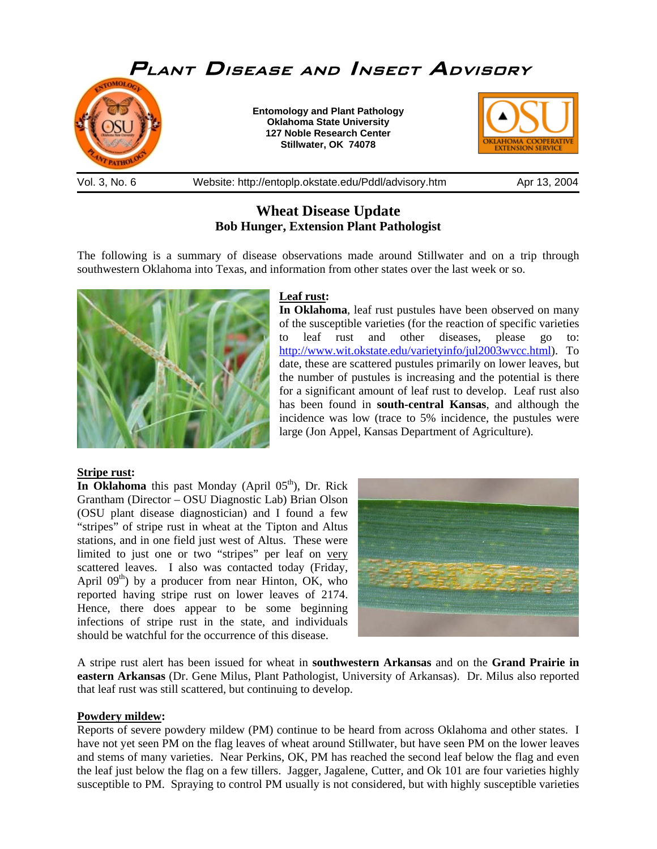

## **Wheat Disease Update Bob Hunger, Extension Plant Pathologist**

The following is a summary of disease observations made around Stillwater and on a trip through southwestern Oklahoma into Texas, and information from other states over the last week or so.



#### **Leaf rust:**

**In Oklahoma**, leaf rust pustules have been observed on many of the susceptible varieties (for the reaction of specific varieties to leaf rust and other diseases, please go to: [http://www.wit.okstate.edu/varietyinfo/jul2003wvcc.html\)](http://www.wit.okstate.edu/varietyinfo/jul2003wvcc.html). To date, these are scattered pustules primarily on lower leaves, but the number of pustules is increasing and the potential is there for a significant amount of leaf rust to develop. Leaf rust also has been found in **south-central Kansas**, and although the incidence was low (trace to 5% incidence, the pustules were large (Jon Appel, Kansas Department of Agriculture).

#### **Stripe rust:**

**In Oklahoma** this past Monday (April  $0.5<sup>th</sup>$ ), Dr. Rick Grantham (Director – OSU Diagnostic Lab) Brian Olson (OSU plant disease diagnostician) and I found a few "stripes" of stripe rust in wheat at the Tipton and Altus stations, and in one field just west of Altus. These were limited to just one or two "stripes" per leaf on very scattered leaves. I also was contacted today (Friday, April  $09<sup>th</sup>$ ) by a producer from near Hinton, OK, who reported having stripe rust on lower leaves of 2174. Hence, there does appear to be some beginning infections of stripe rust in the state, and individuals should be watchful for the occurrence of this disease.



A stripe rust alert has been issued for wheat in **southwestern Arkansas** and on the **Grand Prairie in eastern Arkansas** (Dr. Gene Milus, Plant Pathologist, University of Arkansas). Dr. Milus also reported that leaf rust was still scattered, but continuing to develop.

#### **Powdery mildew:**

Reports of severe powdery mildew (PM) continue to be heard from across Oklahoma and other states. I have not yet seen PM on the flag leaves of wheat around Stillwater, but have seen PM on the lower leaves and stems of many varieties. Near Perkins, OK, PM has reached the second leaf below the flag and even the leaf just below the flag on a few tillers. Jagger, Jagalene, Cutter, and Ok 101 are four varieties highly susceptible to PM. Spraying to control PM usually is not considered, but with highly susceptible varieties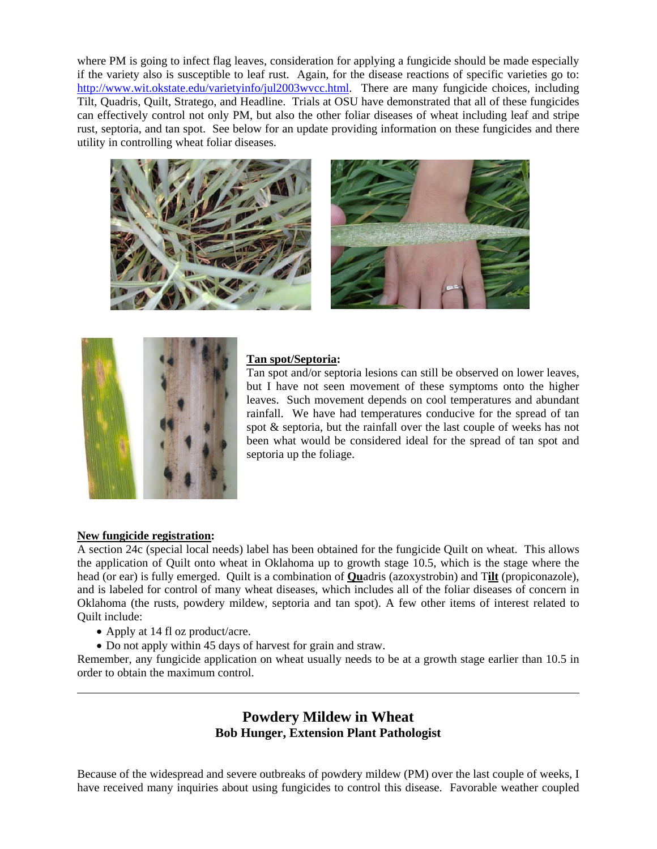where PM is going to infect flag leaves, consideration for applying a fungicide should be made especially if the variety also is susceptible to leaf rust. Again, for the disease reactions of specific varieties go to: [http://www.wit.okstate.edu/varietyinfo/jul2003wvcc.html.](http://www.wit.okstate.edu/varietyinfo/jul2003wvcc.html) There are many fungicide choices, including Tilt, Quadris, Quilt, Stratego, and Headline. Trials at OSU have demonstrated that all of these fungicides can effectively control not only PM, but also the other foliar diseases of wheat including leaf and stripe rust, septoria, and tan spot. See below for an update providing information on these fungicides and there utility in controlling wheat foliar diseases.







### **Tan spot/Septoria:**

Tan spot and/or septoria lesions can still be observed on lower leaves, but I have not seen movement of these symptoms onto the higher leaves. Such movement depends on cool temperatures and abundant rainfall. We have had temperatures conducive for the spread of tan spot & septoria, but the rainfall over the last couple of weeks has not been what would be considered ideal for the spread of tan spot and septoria up the foliage.

#### **New fungicide registration:**

 $\overline{a}$ 

A section 24c (special local needs) label has been obtained for the fungicide Quilt on wheat. This allows the application of Quilt onto wheat in Oklahoma up to growth stage 10.5, which is the stage where the head (or ear) is fully emerged. Quilt is a combination of **Qu**adris (azoxystrobin) and T**ilt** (propiconazole), and is labeled for control of many wheat diseases, which includes all of the foliar diseases of concern in Oklahoma (the rusts, powdery mildew, septoria and tan spot). A few other items of interest related to Quilt include:

- Apply at 14 fl oz product/acre.
- Do not apply within 45 days of harvest for grain and straw.

Remember, any fungicide application on wheat usually needs to be at a growth stage earlier than 10.5 in order to obtain the maximum control.

# **Powdery Mildew in Wheat Bob Hunger, Extension Plant Pathologist**

Because of the widespread and severe outbreaks of powdery mildew (PM) over the last couple of weeks, I have received many inquiries about using fungicides to control this disease. Favorable weather coupled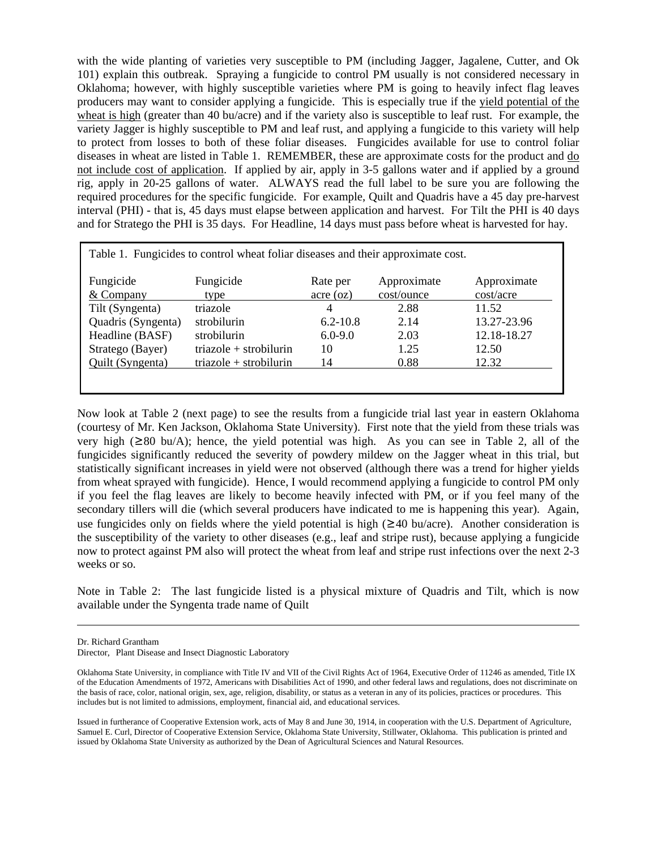with the wide planting of varieties very susceptible to PM (including Jagger, Jagalene, Cutter, and Ok 101) explain this outbreak. Spraying a fungicide to control PM usually is not considered necessary in Oklahoma; however, with highly susceptible varieties where PM is going to heavily infect flag leaves producers may want to consider applying a fungicide. This is especially true if the yield potential of the wheat is high (greater than 40 bu/acre) and if the variety also is susceptible to leaf rust. For example, the variety Jagger is highly susceptible to PM and leaf rust, and applying a fungicide to this variety will help to protect from losses to both of these foliar diseases. Fungicides available for use to control foliar diseases in wheat are listed in Table 1. REMEMBER, these are approximate costs for the product and do not include cost of application. If applied by air, apply in 3-5 gallons water and if applied by a ground rig, apply in 20-25 gallons of water. ALWAYS read the full label to be sure you are following the required procedures for the specific fungicide. For example, Quilt and Quadris have a 45 day pre-harvest interval (PHI) - that is, 45 days must elapse between application and harvest. For Tilt the PHI is 40 days and for Stratego the PHI is 35 days. For Headline, 14 days must pass before wheat is harvested for hay.

| Table 1. Fungicides to control wheat foliar diseases and their approximate cost. |                          |               |             |             |  |  |  |  |  |  |
|----------------------------------------------------------------------------------|--------------------------|---------------|-------------|-------------|--|--|--|--|--|--|
| Fungicide                                                                        | Fungicide                | Rate per      | Approximate | Approximate |  |  |  |  |  |  |
| & Company                                                                        | type                     | $\arccos(oz)$ | cost/ounce  | cost/acre   |  |  |  |  |  |  |
| Tilt (Syngenta)                                                                  | triazole                 | 4             | 2.88        | 11.52       |  |  |  |  |  |  |
| Quadris (Syngenta)                                                               | strobilurin              | $6.2 - 10.8$  | 2.14        | 13.27-23.96 |  |  |  |  |  |  |
| Headline (BASF)                                                                  | strobilurin              | $6.0 - 9.0$   | 2.03        | 12.18-18.27 |  |  |  |  |  |  |
| Stratego (Bayer)                                                                 | $triazole + strobilurin$ | 10            | 1.25        | 12.50       |  |  |  |  |  |  |
| Quilt (Syngenta)                                                                 | $triazole + strobilurin$ | 14            | 0.88        | 12.32       |  |  |  |  |  |  |
|                                                                                  |                          |               |             |             |  |  |  |  |  |  |
|                                                                                  |                          |               |             |             |  |  |  |  |  |  |

Now look at Table 2 (next page) to see the results from a fungicide trial last year in eastern Oklahoma (courtesy of Mr. Ken Jackson, Oklahoma State University). First note that the yield from these trials was very high (≥80 bu/A); hence, the yield potential was high. As you can see in Table 2, all of the fungicides significantly reduced the severity of powdery mildew on the Jagger wheat in this trial, but statistically significant increases in yield were not observed (although there was a trend for higher yields from wheat sprayed with fungicide). Hence, I would recommend applying a fungicide to control PM only if you feel the flag leaves are likely to become heavily infected with PM, or if you feel many of the secondary tillers will die (which several producers have indicated to me is happening this year). Again, use fungicides only on fields where the yield potential is high ( $\geq$ 40 bu/acre). Another consideration is the susceptibility of the variety to other diseases (e.g., leaf and stripe rust), because applying a fungicide now to protect against PM also will protect the wheat from leaf and stripe rust infections over the next 2-3 weeks or so.

Note in Table 2: The last fungicide listed is a physical mixture of Quadris and Tilt, which is now available under the Syngenta trade name of Quilt

Dr. Richard Grantham

 $\overline{a}$ 

Director, Plant Disease and Insect Diagnostic Laboratory

Oklahoma State University, in compliance with Title IV and VII of the Civil Rights Act of 1964, Executive Order of 11246 as amended, Title IX of the Education Amendments of 1972, Americans with Disabilities Act of 1990, and other federal laws and regulations, does not discriminate on the basis of race, color, national origin, sex, age, religion, disability, or status as a veteran in any of its policies, practices or procedures. This includes but is not limited to admissions, employment, financial aid, and educational services.

Issued in furtherance of Cooperative Extension work, acts of May 8 and June 30, 1914, in cooperation with the U.S. Department of Agriculture, Samuel E. Curl, Director of Cooperative Extension Service, Oklahoma State University, Stillwater, Oklahoma. This publication is printed and issued by Oklahoma State University as authorized by the Dean of Agricultural Sciences and Natural Resources.